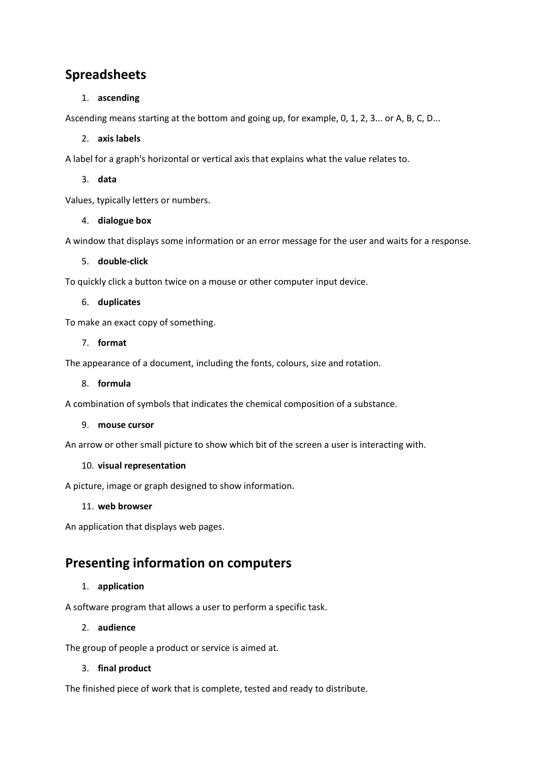# **Spreadsheets**

# 1. **ascending**

Ascending means starting at the bottom and going up, for example, 0, 1, 2, 3... or A, B, C, D...

## 2. **axis labels**

A label for a graph's horizontal or vertical axis that explains what the value relates to.

3. **data**

Values, typically letters or numbers.

## 4. **dialogue box**

A window that displays some information or an error message for the user and waits for a response.

#### 5. **double-click**

To quickly click a button twice on a mouse or other computer input device.

## 6. **duplicates**

To make an exact copy of something.

## 7. **format**

The appearance of a document, including the fonts, colours, size and rotation.

#### 8. **formula**

A combination of symbols that indicates the chemical composition of a substance.

#### 9. **mouse cursor**

An arrow or other small picture to show which bit of the screen a user is interacting with.

#### 10. **visual representation**

A picture, image or graph designed to show information.

#### 11. **web browser**

An application that displays web pages.

# **Presenting information on computers**

# 1. **application**

A software program that allows a user to perform a specific task.

# 2. **audience**

The group of people a product or service is aimed at.

# 3. **final product**

The finished piece of work that is complete, tested and ready to distribute.